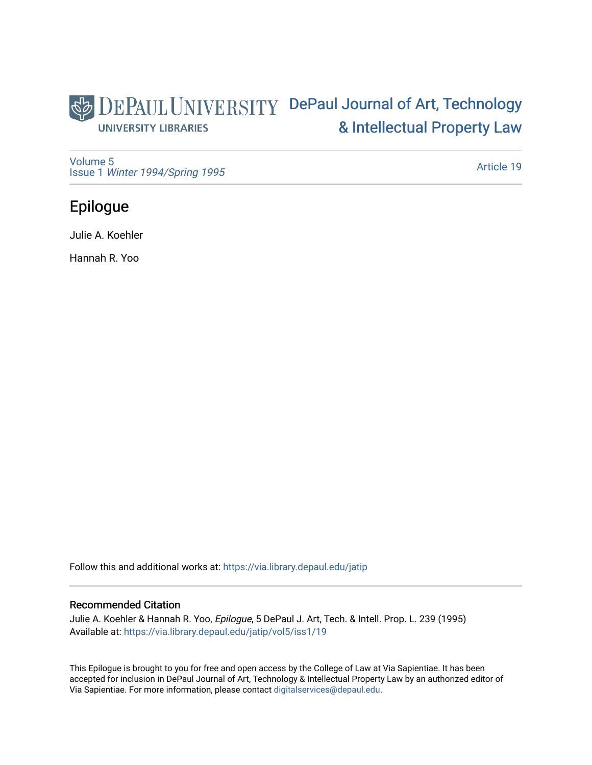## DEPAUL UNIVERSITY DePaul Journal of Art, Technology [& Intellectual Property Law](https://via.library.depaul.edu/jatip)  **UNIVERSITY LIBRARIES**

[Volume 5](https://via.library.depaul.edu/jatip/vol5) Issue 1 [Winter 1994/Spring 1995](https://via.library.depaul.edu/jatip/vol5/iss1)

[Article 19](https://via.library.depaul.edu/jatip/vol5/iss1/19) 

# Epilogue

Julie A. Koehler

Hannah R. Yoo

Follow this and additional works at: [https://via.library.depaul.edu/jatip](https://via.library.depaul.edu/jatip?utm_source=via.library.depaul.edu%2Fjatip%2Fvol5%2Fiss1%2F19&utm_medium=PDF&utm_campaign=PDFCoverPages)

## Recommended Citation

Julie A. Koehler & Hannah R. Yoo, Epilogue, 5 DePaul J. Art, Tech. & Intell. Prop. L. 239 (1995) Available at: [https://via.library.depaul.edu/jatip/vol5/iss1/19](https://via.library.depaul.edu/jatip/vol5/iss1/19?utm_source=via.library.depaul.edu%2Fjatip%2Fvol5%2Fiss1%2F19&utm_medium=PDF&utm_campaign=PDFCoverPages) 

This Epilogue is brought to you for free and open access by the College of Law at Via Sapientiae. It has been accepted for inclusion in DePaul Journal of Art, Technology & Intellectual Property Law by an authorized editor of Via Sapientiae. For more information, please contact [digitalservices@depaul.edu](mailto:digitalservices@depaul.edu).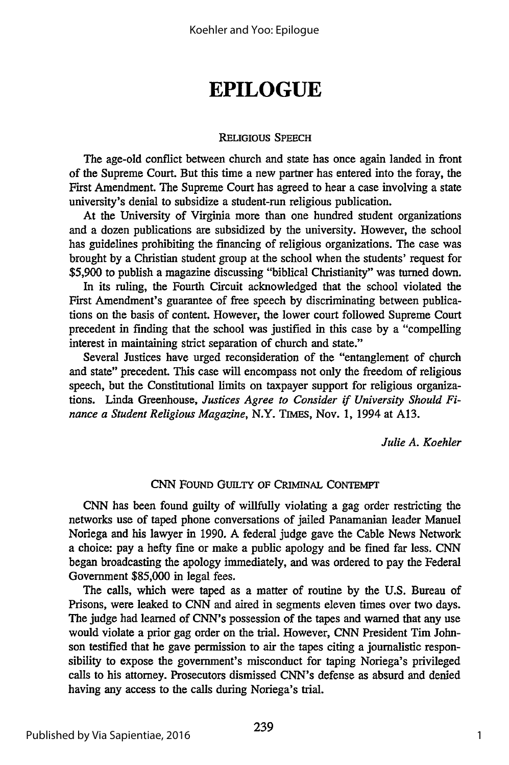# **EPILOGUE**

#### **RELIGIOUS SPEECH**

The age-old conflict between church and state has once again landed in front of the Supreme Court. But this time a new partner has entered into the foray, the First Amendment. The Supreme Court has agreed to hear a case involving a state university's denial to subsidize a student-run religious publication.

At the University of Virginia more than one hundred student organizations and a dozen publications are subsidized by the university. However, the school has guidelines prohibiting the financing of religious organizations. The case was brought by a Christian student group at the school when the students' request for **\$5,900** to publish a magazine discussing "biblical Christianity" was turned down.

In its ruling, the Fourth Circuit acknowledged that the school violated the First Amendment's guarantee of free speech by discriminating between publications on the basis of content. However, the lower court followed Supreme Court precedent in finding that the school was justified in this case by a "compelling interest in maintaining strict separation of church and state."

Several Justices have urged reconsideration of the "entanglement of church and state" precedent. This case will encompass not only the freedom of religious speech, but the Constitutional limits on taxpayer support for religious organizations. Linda Greenhouse, *Justices Agree to Consider if University Should Finance a Student Religious Magazine,* N.Y. **TIMES,** Nov. 1, 1994 at A13.

*Julie A. Koehler*

### CNN **FOUND** GUILTY **OF CRIMNAL CONTEMPT**

CNN has been found guilty of willfully violating a gag order restricting the networks use of taped phone conversations of jailed Panamanian leader Manuel Noriega and his lawyer in 1990. A federal judge gave the Cable News Network a choice: pay a hefty fine or make a public apology and be fined far less. CNN began broadcasting the apology immediately, and was ordered to pay the Federal Government \$85,000 in legal fees.

The calls, which were taped as a matter of routine by the U.S. Bureau of Prisons, were leaked to CNN and aired in segments eleven times over two days. The judge had learned of CNN's possession of the tapes and warned that any use would violate a prior gag order on the trial. However, CNN President Tim Johnson testified that he gave permission to air the tapes citing a journalistic responsibility to expose the government's misconduct for taping Noriega's privileged calls to his attorney. Prosecutors dismissed CNN's defense as absurd and denied having any access to the calls during Noriega's trial.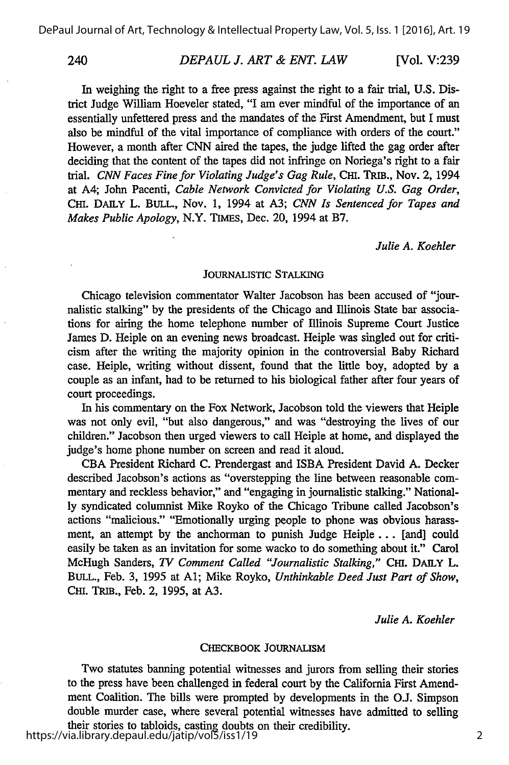### *DEPAUL J. ART & ENT. LAW 240* [Vol. **V:239**

In weighing the right to a free press against the right to a fair trial, **U.S.** District Judge William Hoeveler stated, "I am ever mindful of the importance of an essentially unfettered press and the mandates of the First Amendment, but I must also be mindful of the vital importance of compliance with orders of the court." However, a month after CNN aired the tapes, the judge lifted the gag order after deciding that the content of the tapes did not infringe on Noriega's right to a fair trial. *CNN Faces Fine for Violating Judge's Gag Rule,* CHI. TRIB., Nov. 2, 1994 at A4; John Pacenti, *Cable Network Convicted for Violating U.S. Gag Order,* CHI. DAILY L. BULL., Nov. 1, 1994 at A3; *CNN Is Sentenced for Tapes and Makes Public Apology,* N.Y. TIMES, Dec. 20, 1994 at B7.

*Julie A. Koehler*

#### **JOURNALISTIC** STALKING

Chicago television commentator Walter Jacobson has been accused of "journalistic stalking" **by** the presidents of the Chicago and Illinois State bar associations for airing the home telephone number of illinois Supreme Court Justice James **D.** Heiple on an evening news broadcast. Heiple was singled out for criticism after the writing the majority opinion in the controversial Baby Richard case. Heiple, writing without dissent, found that the little boy, adopted **by** a couple as an infant, had to be returned to his biological father after four years of court proceedings.

In his commentary on the Fox Network, Jacobson told the viewers that Heiple was not only evil, "but also dangerous," and was "destroying the lives of our children." Jacobson then urged viewers to call Heiple at home, and displayed the judge's home phone number on screen and read it aloud.

**CBA** President Richard **C.** Prendergast and ISBA President David **A.** Decker described Jacobson's actions as "overstepping the line between reasonable commentary and reckless behavior," and "engaging in journalistic stalking." National**ly** syndicated columnist Mike Royko of the Chicago Tribune called Jacobson's actions "malicious." "Emotionally urging people to phone was obvious harassment, an attempt **by** the anchorman to punish Judge Heiple... [and] could easily be taken as an invitation for some wacko to do something about it." Carol McHugh Sanders, *TV Comment Called "Journalistic Stalking," CHI.* DAILY L. BULL., Feb. 3, 1995 at **Al;** Mike Royko, *Unthinkable Deed Just Part of Show,* CHI. TRIB., Feb. 2, 1995, at **A3.**

*Julie A. Koehler*

#### CHECKBOOK **JOURNALISM**

Two statutes banning potential witnesses and jurors from selling their stories to the press have been challenged in federal court by the California First Amendment Coalition. The bills were prompted by developments in the O.J. Simpson double murder case, where several potential witnesses have admitted to selling their stories to tabloids, casting doubts on their credibility.

https://via.library.depaul.edu/jatip/vol5/iss1/19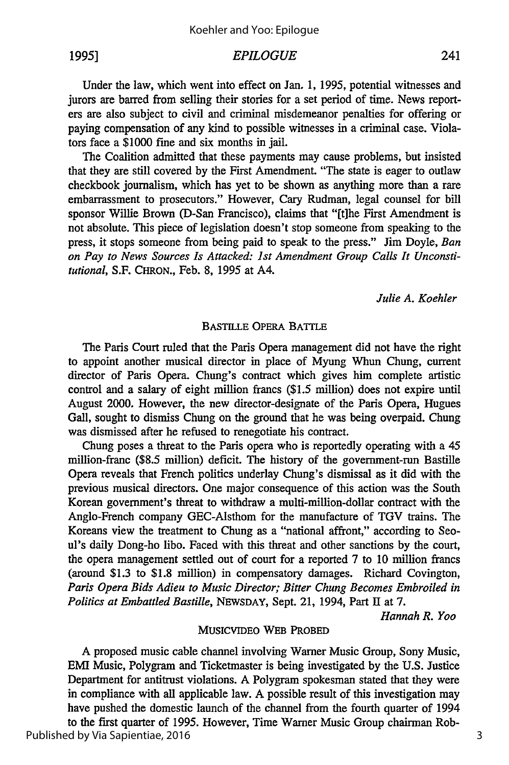**1995]**

#### *EPILOGUE*

Under the law, which went into effect on Jan. 1, 1995, potential witnesses and jurors are barred from selling their stories for a set period of time. News reporters are also subject to civil and criminal misdemeanor penalties for offering or paying compensation of any kind to possible witnesses in a criminal case. Violators face a \$1000 fine and six months in jail.

The Coalition admitted that these payments may cause problems, but insisted that they are still covered by the First Amendment. "The state is eager to outlaw checkbook journalism, which has yet to be shown as anything more than a rare embarrassment to prosecutors." However, Cary Rudman, legal counsel for bill sponsor Willie Brown (D-San Francisco), claims that "[t]he First Amendment is not absolute. This piece of legislation doesn't stop someone from speaking to the press, it stops someone from being paid to speak to the press." Jim Doyle, *Ban on Pay to News Sources Is Attacked: 1st Amendment Group Calls It Unconstitutional,* S.F. CHRON., Feb. 8, 1995 at A4.

*Julie A. Koehler*

#### BASTILLE OPERA BATTLE

The Paris Court ruled that the Paris Opera management did not have the right to appoint another musical director in place of Myung Whun Chung, current director of Paris Opera. Chung's contract which gives him complete artistic control and a salary of eight million francs (\$1.5 million) does not expire until August 2000. However, the new director-designate of the Paris Opera, Hugues Gall, sought to dismiss Chung on the ground that he was being overpaid. Chung was dismissed after he refused to renegotiate his contract.

Chung poses a threat to the Paris opera who is reportedly operating with a 45 million-franc (\$8.5 million) deficit. The history of the government-run Bastille Opera reveals that French politics underlay Chung's dismissal as it did with the previous musical directors. One major consequence of this action was the South Korean government's threat to withdraw a multi-million-dollar contract with the Anglo-French company GEC-Alsthom for the manufacture of TGV trains. The Koreans view the treatment to Chung as a "national affront," according to Seoul's daily Dong-ho libo. Faced with this threat and other sanctions by the court, the opera management settled out of court for a reported 7 to 10 million francs (around \$1.3 to \$1.8 million) in compensatory damages. Richard Covington, *Paris Opera Bids Adieu to Music Director; Bitter Chung Becomes Embroiled in Politics at Embattled Bastille,* NEWSDAY, Sept. 21, 1994, Part **I** at 7.

*Hannah R. Yoo*

#### MUSICVIDEO WEB PROBED

A proposed music cable channel involving Warner Music Group, Sony Music, EMI Music, Polygram and Ticketmaster is being investigated by the U.S. Justice Department for antitrust violations. A Polygram spokesman stated that they were in compliance with all applicable law. A possible result of this investigation may have pushed the domestic launch of the channel from the fourth quarter of 1994 to the first quarter of 1995. However, Time Warner Music Group chairman Rob-

Published by Via Sapientiae, 2016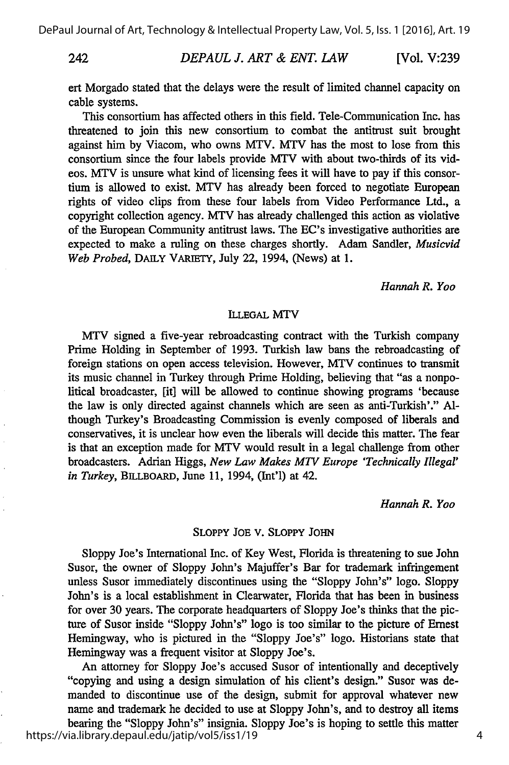242

#### *DEPAUL J. ART & ENT. LAW* **[Vol. V:239**

ert Morgado stated that the delays were the result of limited channel capacity on cable systems.

This consortium has affected others in this field. Tele-Communication Inc. has threatened to join this new consortium to combat the antitrust suit brought against him by Viacom, who owns MTV. MTV has the most to lose from this consortium since the four labels provide MTV with about two-thirds of its videos. MTV is unsure what kind of licensing fees it will have to pay if this consortium is allowed to exist. MTV has already been forced to negotiate European rights of video clips from these four labels from Video Performance Ltd., a copyright collection agency. MTV has already challenged this action as violative of the European Community antitrust laws. The EC's investigative authorities are expected to make a ruling on these charges shortly. Adam Sandier, *Musicvid Web Probed,* DAILY VARIETY, July 22, 1994, (News) at 1.

*Hannah R. Yoo*

#### **ILLEGAL** MTV

MTV signed a five-year rebroadcasting contract with the Turkish company Prime Holding in September of 1993. Turkish law bans the rebroadcasting of foreign stations on open access television. However, MTV continues to transmit its music channel in Turkey through Prime Holding, believing that "as a nonpolitical broadcaster, [it] will be allowed to continue showing programs 'because the law is only directed against channels which are seen as anti-Turkish'." Although Turkey's Broadcasting Commission is evenly composed of liberals and conservatives, it is unclear how even the liberals will decide this matter. The fear is that an exception made for MTV would result in a legal challenge from other broadcasters. Adrian Higgs, *New Law Makes MTV Europe 'Technically Illegal' in Turkey,* BILLBOARD, June 11, 1994, (Int'l) at 42.

*Hannah R. Yoo*

#### SLOPPY **JOE** V. SLOPPY **JOHN**

Sloppy Joe's International Inc. of Key West, Florida is threatening to sue John Susor, the owner of Sloppy John's Majuffer's Bar for trademark infringement unless Susor immediately discontinues using the "Sloppy John's" logo. Sloppy John's is a local establishment in Clearwater, Florida that has been in business for over 30 years. The corporate headquarters of Sloppy Joe's thinks that the picture of Susor inside "Sloppy John's" logo is too similar to the picture of Ernest Hemingway, who is pictured in the "Sloppy Joe's" logo. Historians state that Hemingway was a frequent visitor at Sloppy Joe's.

An attorney for Sloppy Joe's accused Susor of intentionally and deceptively "copying and using a design simulation of his client's design." Susor was demanded to discontinue use of the design, submit for approval whatever new name and trademark he decided to use at Sloppy John's, and to destroy all items bearing the "Sloppy John's" insignia. Sloppy Joe's is hoping to settle this matter https://via.library.depaul.edu/jatip/vol5/iss1/19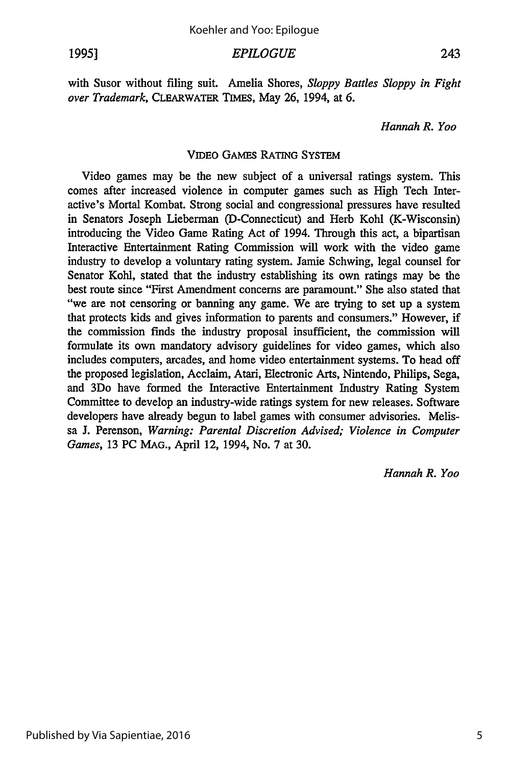1995] *EPILOGUE* 243

with Susor without filing suit. Amelia Shores, *Sloppy Battles Sloppy in Fight over Trademark,* CLEARWATER TIMES, May 26, 1994, at 6.

*Hannah R. Yoo*

#### **VIDEO GAMES** RATING **SYSTEM**

Video games may be the new subject of a universal ratings system. This comes after increased violence in computer games such as High Tech Interactive's Mortal Kombat. Strong social and congressional pressures have resulted in Senators Joseph Lieberman (D-Connecticut) and Herb Kohl (K-Wisconsin) introducing the Video Game Rating Act of 1994. Through this act, a bipartisan Interactive Entertainment Rating Commission will work with the video game industry to develop a voluntary rating system. Jamie Schwing, legal counsel for Senator Kohl, stated that the industry establishing its own ratings may **be** the best route since "First Amendment concerns are paramount." She also stated that "we are not censoring or banning any game. We are trying to set up a system that protects **kids** and gives information to parents and consumers." However, if the commission finds the industry proposal insufficient, the commission will formulate its own mandatory advisory guidelines for video games, which also includes computers, arcades, and home video entertainment systems. To head off the proposed legislation, Acclaim, Atari, Electronic Arts, Nintendo, Philips, Sega, and 3Do have formed the Interactive Entertainment Industry Rating System Committee to develop an industry-wide ratings system for new releases. Software developers have already begun to label games with consumer advisories. Melissa J. Perenson, *Warning: Parental Discretion Advised; Violence in Computer Games,* 13 PC MAG., April 12, 1994, No. 7 at 30.

*Hannah R. Yoo*